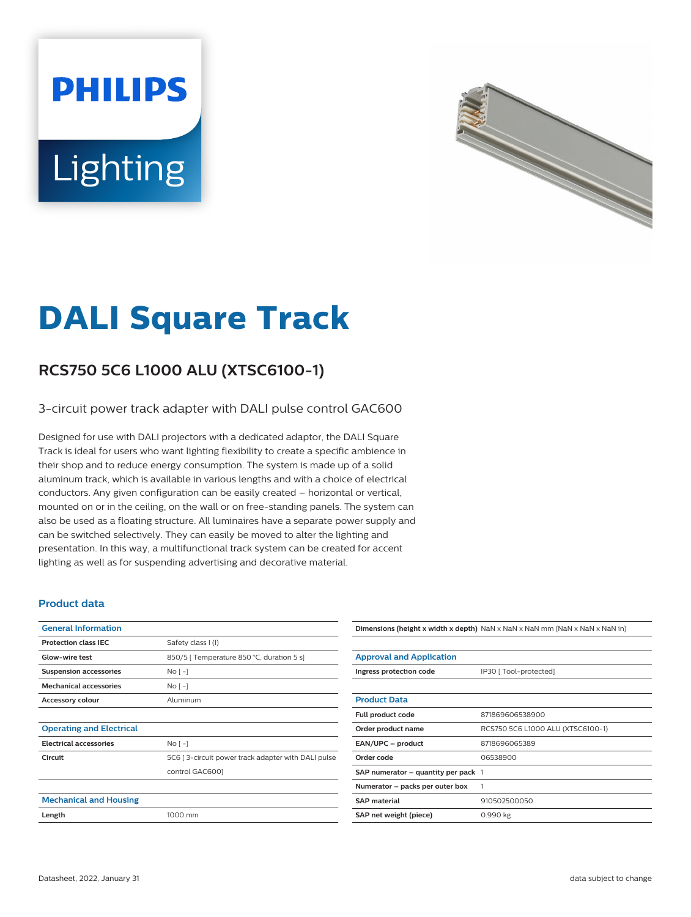# **PHILIPS** Lighting



## **DALI Square Track**

### **RCS750 5C6 L1000 ALU (XTSC6100-1)**

#### 3-circuit power track adapter with DALI pulse control GAC600

Designed for use with DALI projectors with a dedicated adaptor, the DALI Square Track is ideal for users who want lighting flexibility to create a specific ambience in their shop and to reduce energy consumption. The system is made up of a solid aluminum track, which is available in various lengths and with a choice of electrical conductors. Any given configuration can be easily created – horizontal or vertical, mounted on or in the ceiling, on the wall or on free-standing panels. The system can also be used as a floating structure. All luminaires have a separate power supply and can be switched selectively. They can easily be moved to alter the lighting and presentation. In this way, a multifunctional track system can be created for accent lighting as well as for suspending advertising and decorative material.

#### **Product data**

| <b>General Information</b>      |                                                    |
|---------------------------------|----------------------------------------------------|
| <b>Protection class IEC</b>     | Safety class I (I)                                 |
| Glow-wire test                  | 850/5   Temperature 850 °C, duration 5 s]          |
| <b>Suspension accessories</b>   | $No[-]$                                            |
| <b>Mechanical accessories</b>   | No <sub>1</sub>                                    |
| <b>Accessory colour</b>         | Aluminum                                           |
|                                 |                                                    |
| <b>Operating and Electrical</b> |                                                    |
| <b>Electrical accessories</b>   | No <sub>1</sub>                                    |
| Circuit                         | 5C6 [3-circuit power track adapter with DALI pulse |
|                                 | control GAC6001                                    |
|                                 |                                                    |
| <b>Mechanical and Housing</b>   |                                                    |
| Length                          | 1000 mm                                            |
|                                 |                                                    |

### **Dimensions (height x width x depth)** NaN x NaN x NaN mm (NaN x NaN x NaN in)

| <b>Approval and Application</b>         |                                   |
|-----------------------------------------|-----------------------------------|
| Ingress protection code                 | IP30 [ Tool-protected]            |
|                                         |                                   |
| <b>Product Data</b>                     |                                   |
| Full product code                       | 871869606538900                   |
| Order product name                      | RCS750 5C6 L1000 ALU (XTSC6100-1) |
| EAN/UPC - product                       | 8718696065389                     |
| Order code                              | 06538900                          |
| SAP numerator $-$ quantity per pack $1$ |                                   |
| Numerator – packs per outer box         | 1                                 |
| <b>SAP</b> material                     | 910502500050                      |
| SAP net weight (piece)                  | 0.990 kg                          |